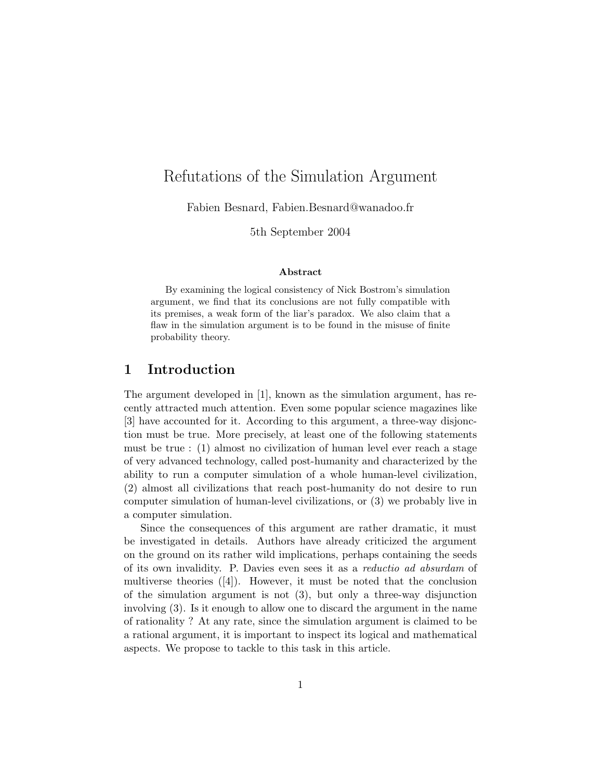# Refutations of the Simulation Argument

Fabien Besnard, Fabien.Besnard@wanadoo.fr

5th September 2004

#### Abstract

By examining the logical consistency of Nick Bostrom's simulation argument, we find that its conclusions are not fully compatible with its premises, a weak form of the liar's paradox. We also claim that a flaw in the simulation argument is to be found in the misuse of finite probability theory.

### 1 Introduction

The argument developed in [1], known as the simulation argument, has recently attracted much attention. Even some popular science magazines like [3] have accounted for it. According to this argument, a three-way disjonction must be true. More precisely, at least one of the following statements must be true : (1) almost no civilization of human level ever reach a stage of very advanced technology, called post-humanity and characterized by the ability to run a computer simulation of a whole human-level civilization, (2) almost all civilizations that reach post-humanity do not desire to run computer simulation of human-level civilizations, or (3) we probably live in a computer simulation.

Since the consequences of this argument are rather dramatic, it must be investigated in details. Authors have already criticized the argument on the ground on its rather wild implications, perhaps containing the seeds of its own invalidity. P. Davies even sees it as a reductio ad absurdam of multiverse theories  $([4])$ . However, it must be noted that the conclusion of the simulation argument is not (3), but only a three-way disjunction involving (3). Is it enough to allow one to discard the argument in the name of rationality ? At any rate, since the simulation argument is claimed to be a rational argument, it is important to inspect its logical and mathematical aspects. We propose to tackle to this task in this article.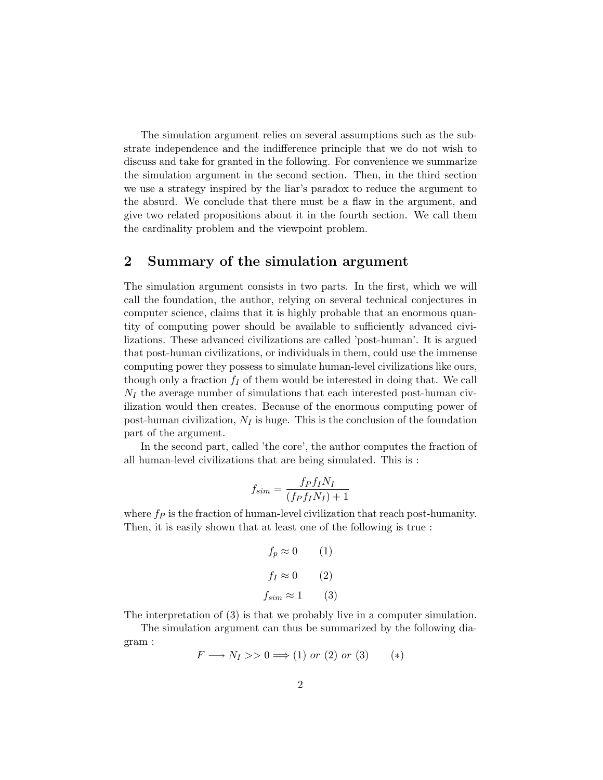The simulation argument relies on several assumptions such as the substrate independence and the indifference principle that we do not wish to discuss and take for granted in the following. For convenience we summarize the simulation argument in the second section. Then, in the third section we use a strategy inspired by the liar's paradox to reduce the argument to the absurd. We conclude that there must be a flaw in the argument, and give two related propositions about it in the fourth section. We call them the cardinality problem and the viewpoint problem.

### 2 Summary of the simulation argument

The simulation argument consists in two parts. In the first, which we will call the foundation, the author, relying on several technical conjectures in computer science, claims that it is highly probable that an enormous quantity of computing power should be available to sufficiently advanced civilizations. These advanced civilizations are called 'post-human'. It is argued that post-human civilizations, or individuals in them, could use the immense computing power they possess to simulate human-level civilizations like ours, though only a fraction  $f_I$  of them would be interested in doing that. We call  $N_I$  the average number of simulations that each interested post-human civilization would then creates. Because of the enormous computing power of post-human civilization,  $N_I$  is huge. This is the conclusion of the foundation part of the argument.

In the second part, called 'the core', the author computes the fraction of all human-level civilizations that are being simulated. This is :

$$
f_{sim} = \frac{f_P f_I N_I}{(f_P f_I N_I) + 1}
$$

where  $f_P$  is the fraction of human-level civilization that reach post-humanity. Then, it is easily shown that at least one of the following is true :

$$
f_p \approx 0 \qquad (1)
$$
  

$$
f_I \approx 0 \qquad (2)
$$
  

$$
f_{sim} \approx 1 \qquad (3)
$$

The interpretation of (3) is that we probably live in a computer simulation.

The simulation argument can thus be summarized by the following diagram :

$$
F \longrightarrow N_I \gg 0 \Longrightarrow (1) \text{ or } (2) \text{ or } (3) \qquad (*)
$$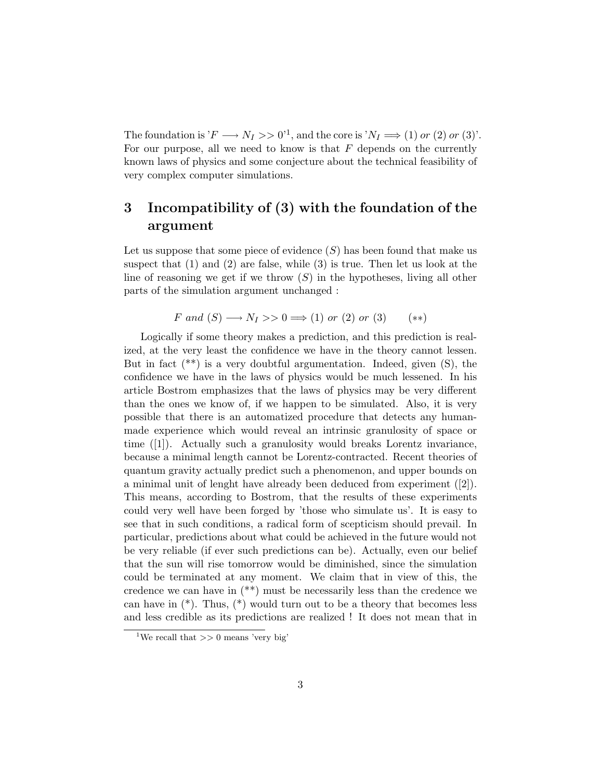The foundation is ' $F \longrightarrow N_I >> 0$ '<sup>1</sup>, and the core is ' $N_I \Longrightarrow (1)$  or  $(2)$  or  $(3)$ '. For our purpose, all we need to know is that  $F$  depends on the currently known laws of physics and some conjecture about the technical feasibility of very complex computer simulations.

## 3 Incompatibility of (3) with the foundation of the argument

Let us suppose that some piece of evidence  $(S)$  has been found that make us suspect that  $(1)$  and  $(2)$  are false, while  $(3)$  is true. Then let us look at the line of reasoning we get if we throw  $(S)$  in the hypotheses, living all other parts of the simulation argument unchanged :

$$
F \text{ and } (S) \longrightarrow N_I \gg 0 \Longrightarrow (1) \text{ or } (2) \text{ or } (3) \quad (*)
$$

Logically if some theory makes a prediction, and this prediction is realized, at the very least the confidence we have in the theory cannot lessen. But in fact  $(**)$  is a very doubtful argumentation. Indeed, given  $(S)$ , the confidence we have in the laws of physics would be much lessened. In his article Bostrom emphasizes that the laws of physics may be very different than the ones we know of, if we happen to be simulated. Also, it is very possible that there is an automatized procedure that detects any humanmade experience which would reveal an intrinsic granulosity of space or time ([1]). Actually such a granulosity would breaks Lorentz invariance, because a minimal length cannot be Lorentz-contracted. Recent theories of quantum gravity actually predict such a phenomenon, and upper bounds on a minimal unit of lenght have already been deduced from experiment ([2]). This means, according to Bostrom, that the results of these experiments could very well have been forged by 'those who simulate us'. It is easy to see that in such conditions, a radical form of scepticism should prevail. In particular, predictions about what could be achieved in the future would not be very reliable (if ever such predictions can be). Actually, even our belief that the sun will rise tomorrow would be diminished, since the simulation could be terminated at any moment. We claim that in view of this, the credence we can have in (\*\*) must be necessarily less than the credence we can have in  $(*)$ . Thus,  $(*)$  would turn out to be a theory that becomes less and less credible as its predictions are realized ! It does not mean that in

<sup>&</sup>lt;sup>1</sup>We recall that  $>> 0$  means 'very big'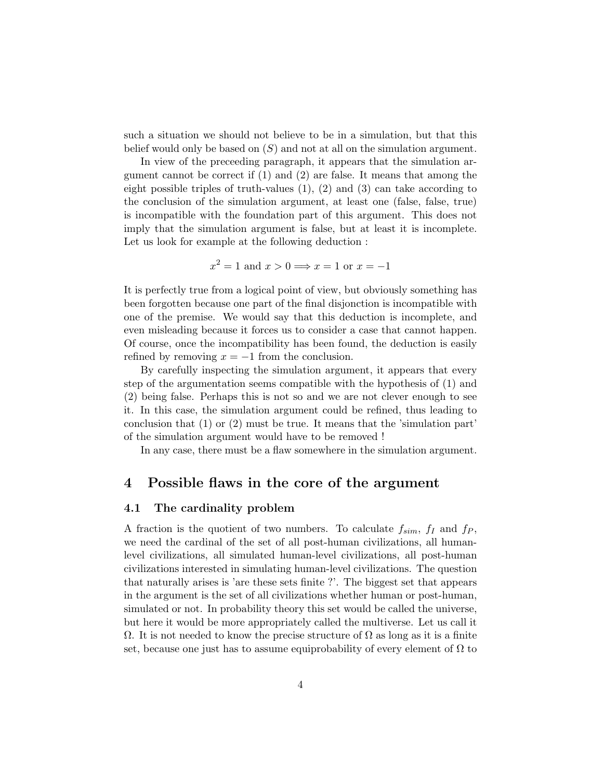such a situation we should not believe to be in a simulation, but that this belief would only be based on  $(S)$  and not at all on the simulation argument.

In view of the preceeding paragraph, it appears that the simulation argument cannot be correct if (1) and (2) are false. It means that among the eight possible triples of truth-values (1), (2) and (3) can take according to the conclusion of the simulation argument, at least one (false, false, true) is incompatible with the foundation part of this argument. This does not imply that the simulation argument is false, but at least it is incomplete. Let us look for example at the following deduction :

$$
x^2 = 1
$$
 and  $x > 0 \Longrightarrow x = 1$  or  $x = -1$ 

It is perfectly true from a logical point of view, but obviously something has been forgotten because one part of the final disjonction is incompatible with one of the premise. We would say that this deduction is incomplete, and even misleading because it forces us to consider a case that cannot happen. Of course, once the incompatibility has been found, the deduction is easily refined by removing  $x = -1$  from the conclusion.

By carefully inspecting the simulation argument, it appears that every step of the argumentation seems compatible with the hypothesis of (1) and (2) being false. Perhaps this is not so and we are not clever enough to see it. In this case, the simulation argument could be refined, thus leading to conclusion that  $(1)$  or  $(2)$  must be true. It means that the 'simulation part' of the simulation argument would have to be removed !

In any case, there must be a flaw somewhere in the simulation argument.

### 4 Possible flaws in the core of the argument

#### 4.1 The cardinality problem

A fraction is the quotient of two numbers. To calculate  $f_{sim}$ ,  $f_I$  and  $f_P$ , we need the cardinal of the set of all post-human civilizations, all humanlevel civilizations, all simulated human-level civilizations, all post-human civilizations interested in simulating human-level civilizations. The question that naturally arises is 'are these sets finite ?'. The biggest set that appears in the argument is the set of all civilizations whether human or post-human, simulated or not. In probability theory this set would be called the universe, but here it would be more appropriately called the multiverse. Let us call it  $\Omega$ . It is not needed to know the precise structure of  $\Omega$  as long as it is a finite set, because one just has to assume equiprobability of every element of  $\Omega$  to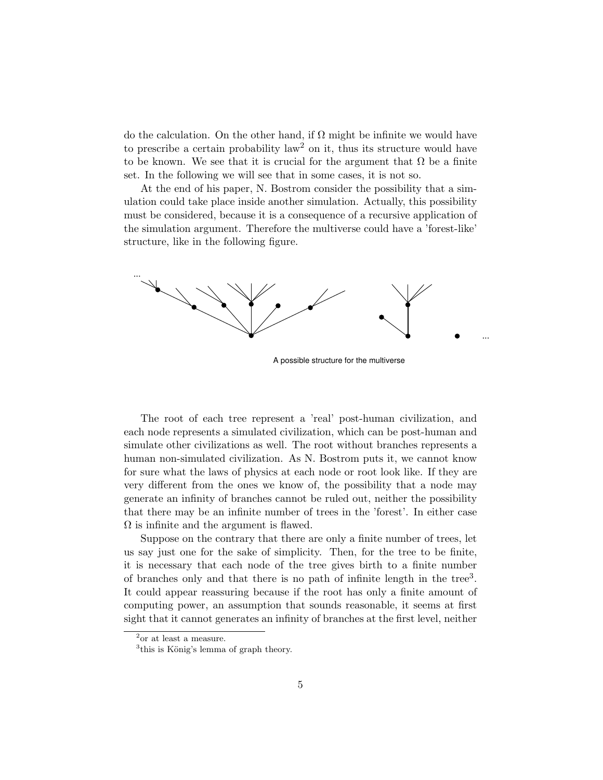do the calculation. On the other hand, if  $\Omega$  might be infinite we would have to prescribe a certain probability law<sup>2</sup> on it, thus its structure would have to be known. We see that it is crucial for the argument that  $\Omega$  be a finite set. In the following we will see that in some cases, it is not so.

At the end of his paper, N. Bostrom consider the possibility that a simulation could take place inside another simulation. Actually, this possibility must be considered, because it is a consequence of a recursive application of the simulation argument. Therefore the multiverse could have a 'forest-like' structure, like in the following figure.



A possible structure for the multiverse

The root of each tree represent a 'real' post-human civilization, and each node represents a simulated civilization, which can be post-human and simulate other civilizations as well. The root without branches represents a human non-simulated civilization. As N. Bostrom puts it, we cannot know for sure what the laws of physics at each node or root look like. If they are very different from the ones we know of, the possibility that a node may generate an infinity of branches cannot be ruled out, neither the possibility that there may be an infinite number of trees in the 'forest'. In either case  $\Omega$  is infinite and the argument is flawed.

Suppose on the contrary that there are only a finite number of trees, let us say just one for the sake of simplicity. Then, for the tree to be finite, it is necessary that each node of the tree gives birth to a finite number of branches only and that there is no path of infinite length in the tree<sup>3</sup>. It could appear reassuring because if the root has only a finite amount of computing power, an assumption that sounds reasonable, it seems at first sight that it cannot generates an infinity of branches at the first level, neither

 $^2$  or at least a measure.

<sup>&</sup>lt;sup>3</sup>this is König's lemma of graph theory.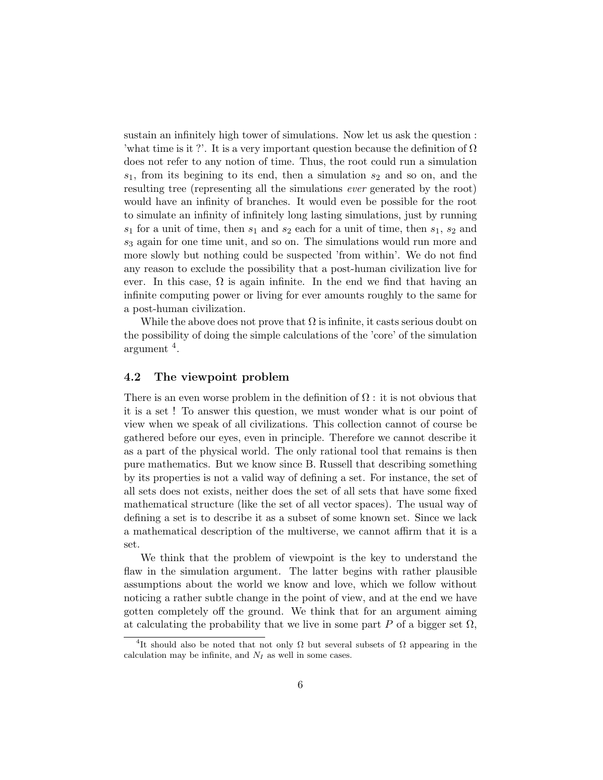sustain an infinitely high tower of simulations. Now let us ask the question : 'what time is it ?'. It is a very important question because the definition of  $\Omega$ does not refer to any notion of time. Thus, the root could run a simulation  $s_1$ , from its begining to its end, then a simulation  $s_2$  and so on, and the resulting tree (representing all the simulations ever generated by the root) would have an infinity of branches. It would even be possible for the root to simulate an infinity of infinitely long lasting simulations, just by running  $s_1$  for a unit of time, then  $s_1$  and  $s_2$  each for a unit of time, then  $s_1$ ,  $s_2$  and  $s_3$  again for one time unit, and so on. The simulations would run more and more slowly but nothing could be suspected 'from within'. We do not find any reason to exclude the possibility that a post-human civilization live for ever. In this case,  $\Omega$  is again infinite. In the end we find that having an infinite computing power or living for ever amounts roughly to the same for a post-human civilization.

While the above does not prove that  $\Omega$  is infinite, it casts serious doubt on the possibility of doing the simple calculations of the 'core' of the simulation argument <sup>4</sup> .

#### 4.2 The viewpoint problem

There is an even worse problem in the definition of  $\Omega$ : it is not obvious that it is a set ! To answer this question, we must wonder what is our point of view when we speak of all civilizations. This collection cannot of course be gathered before our eyes, even in principle. Therefore we cannot describe it as a part of the physical world. The only rational tool that remains is then pure mathematics. But we know since B. Russell that describing something by its properties is not a valid way of defining a set. For instance, the set of all sets does not exists, neither does the set of all sets that have some fixed mathematical structure (like the set of all vector spaces). The usual way of defining a set is to describe it as a subset of some known set. Since we lack a mathematical description of the multiverse, we cannot affirm that it is a set.

We think that the problem of viewpoint is the key to understand the flaw in the simulation argument. The latter begins with rather plausible assumptions about the world we know and love, which we follow without noticing a rather subtle change in the point of view, and at the end we have gotten completely off the ground. We think that for an argument aiming at calculating the probability that we live in some part P of a bigger set  $\Omega$ ,

<sup>&</sup>lt;sup>4</sup>It should also be noted that not only  $\Omega$  but several subsets of  $\Omega$  appearing in the calculation may be infinite, and  $N_I$  as well in some cases.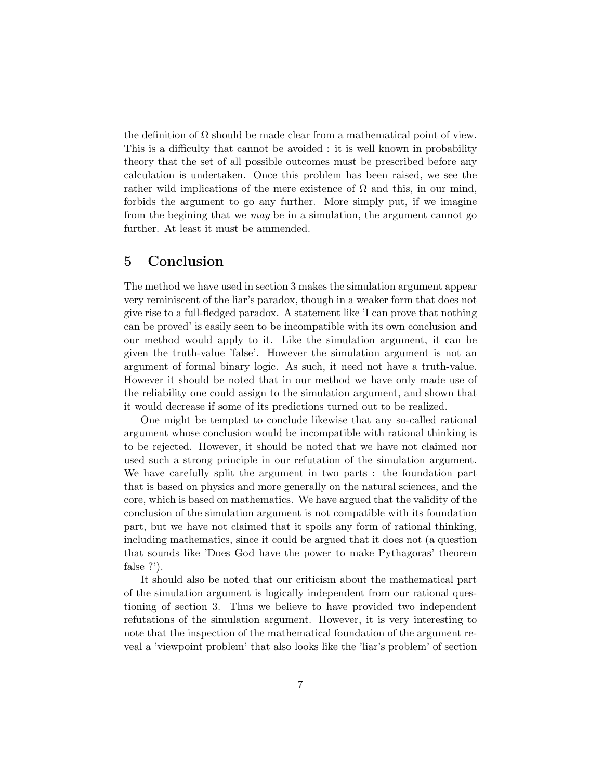the definition of  $\Omega$  should be made clear from a mathematical point of view. This is a difficulty that cannot be avoided : it is well known in probability theory that the set of all possible outcomes must be prescribed before any calculation is undertaken. Once this problem has been raised, we see the rather wild implications of the mere existence of  $\Omega$  and this, in our mind, forbids the argument to go any further. More simply put, if we imagine from the begining that we *may* be in a simulation, the argument cannot go further. At least it must be ammended.

### 5 Conclusion

The method we have used in section 3 makes the simulation argument appear very reminiscent of the liar's paradox, though in a weaker form that does not give rise to a full-fledged paradox. A statement like 'I can prove that nothing can be proved' is easily seen to be incompatible with its own conclusion and our method would apply to it. Like the simulation argument, it can be given the truth-value 'false'. However the simulation argument is not an argument of formal binary logic. As such, it need not have a truth-value. However it should be noted that in our method we have only made use of the reliability one could assign to the simulation argument, and shown that it would decrease if some of its predictions turned out to be realized.

One might be tempted to conclude likewise that any so-called rational argument whose conclusion would be incompatible with rational thinking is to be rejected. However, it should be noted that we have not claimed nor used such a strong principle in our refutation of the simulation argument. We have carefully split the argument in two parts : the foundation part that is based on physics and more generally on the natural sciences, and the core, which is based on mathematics. We have argued that the validity of the conclusion of the simulation argument is not compatible with its foundation part, but we have not claimed that it spoils any form of rational thinking, including mathematics, since it could be argued that it does not (a question that sounds like 'Does God have the power to make Pythagoras' theorem false ?').

It should also be noted that our criticism about the mathematical part of the simulation argument is logically independent from our rational questioning of section 3. Thus we believe to have provided two independent refutations of the simulation argument. However, it is very interesting to note that the inspection of the mathematical foundation of the argument reveal a 'viewpoint problem' that also looks like the 'liar's problem' of section